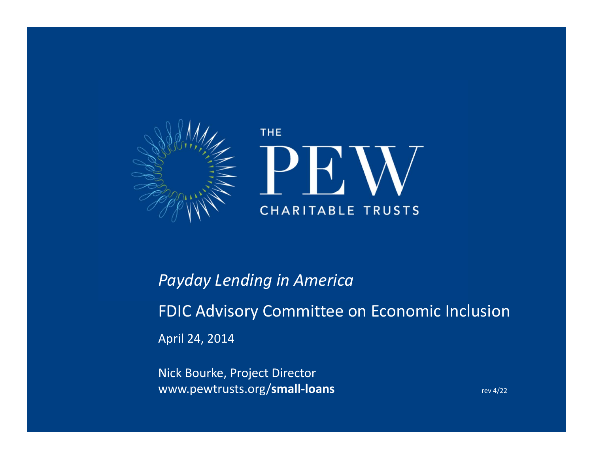

# *Payday Lending in America* FDIC Advisory Committee on Economic Inclusion April 24, 2014

Nick Bourke, Project Director www.pewtrusts.org/small-loans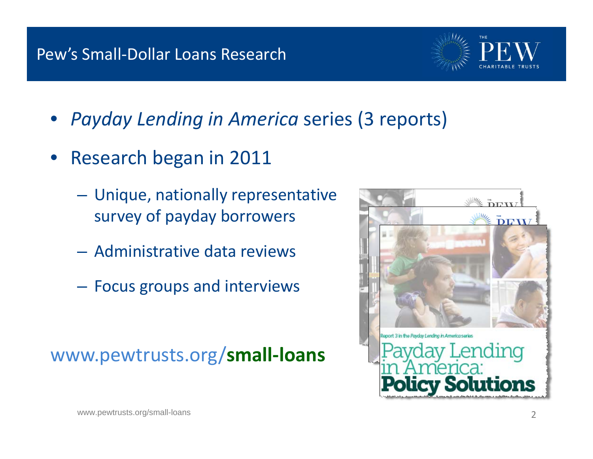### Pew's Small‐Dollar Loans Research

- 
- *Payday Lending in America* series (3 reports)
- Research began in 2011
	- $\mathcal{L}_{\mathcal{A}}$  Unique, nationally representative survey of payday borrowers
	- Administrative data reviews
	- Focus groups and interviews

# www.pewtrusts.org/**small‐loans**

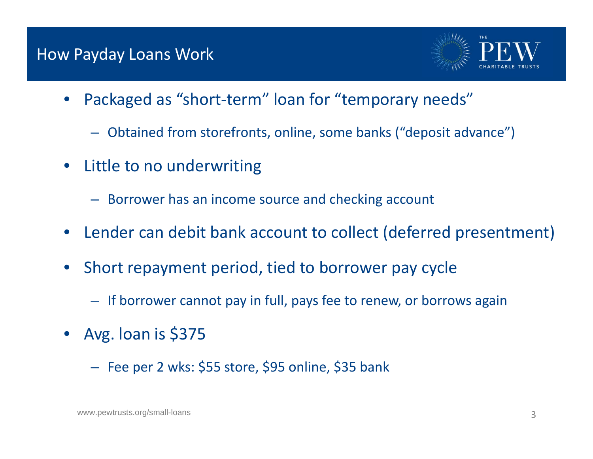#### How Payday Loans Work



- • Packaged as "short‐term" loan for "temporary needs"
	- Obtained from storefronts, online, some banks ("deposit advance")
- • Little to no underwriting
	- Borrower has an income source and checking account
- •Lender can debit bank account to collect (deferred presentment)
- • Short repayment period, tied to borrower pay cycle
	- If borrower cannot pay in full, pays fee to renew, or borrows again
- • Avg. loan is \$375
	- Fee per <sup>2</sup> wks: \$55 store, \$95 online, \$35 bank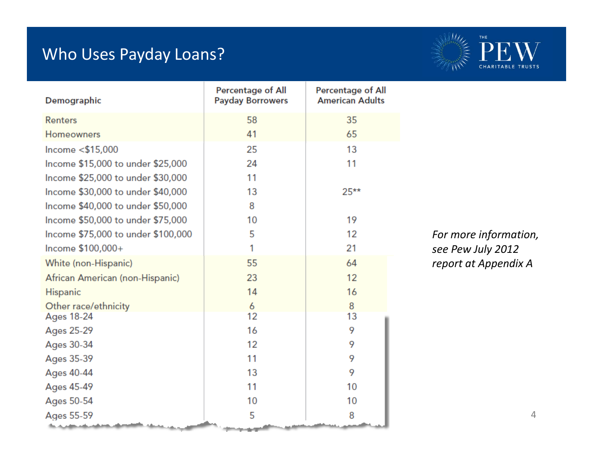## Who Uses Payday Loans?



| Demographic                        | <b>Percentage of All</b><br><b>Payday Borrowers</b> | <b>Percentage of All</b><br><b>American Adults</b> |                      |
|------------------------------------|-----------------------------------------------------|----------------------------------------------------|----------------------|
| <b>Renters</b>                     | 58                                                  | 35                                                 |                      |
| Homeowners                         | 41                                                  | 65                                                 |                      |
| Income <\$15,000                   | 25                                                  | 13                                                 |                      |
| Income \$15,000 to under \$25,000  | 24                                                  | 11                                                 |                      |
| Income \$25,000 to under \$30,000  | 11                                                  |                                                    |                      |
| Income \$30,000 to under \$40,000  | 13                                                  | $25**$                                             |                      |
| Income \$40,000 to under \$50,000  | 8                                                   |                                                    |                      |
| Income \$50,000 to under \$75,000  | 10                                                  | 19                                                 |                      |
| Income \$75,000 to under \$100,000 | 5                                                   | 12                                                 | For more information |
| Income \$100,000+                  | 1                                                   | 21                                                 | see Pew July 2012    |
| White (non-Hispanic)               | 55                                                  | 64                                                 | report at Appendix A |
| African American (non-Hispanic)    | 23                                                  | 12                                                 |                      |
| <b>Hispanic</b>                    | 14                                                  | 16                                                 |                      |
| Other race/ethnicity               | 6                                                   | 8                                                  |                      |
| <b>Ages 18-24</b>                  | 12                                                  | 13                                                 |                      |
| Ages 25-29                         | 16                                                  | 9                                                  |                      |
| Ages 30-34                         | 12                                                  | 9                                                  |                      |
| Ages 35-39                         | 11                                                  | 9                                                  |                      |
| Ages 40-44                         | 13                                                  | 9                                                  |                      |
| Ages 45-49                         | 11                                                  | 10                                                 |                      |
| Ages 50-54                         | 10                                                  | 10                                                 |                      |
| Ages 55-59                         | 5                                                   | 8                                                  |                      |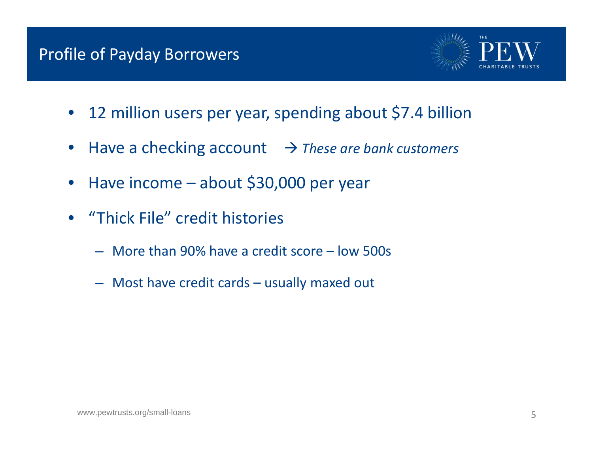## Profile of Payday Borrowers



- $\bullet$ 12 million users per year, spending about \$7.4 billion
- $\bullet$ Have <sup>a</sup> checking account *These are bank customers*
- $\bullet$ • Have income – about \$30,000 per year
- • "Thick File" credit histories
	- More than 90% have <sup>a</sup> credit score low 500s
	- Most have credit cards usually maxed out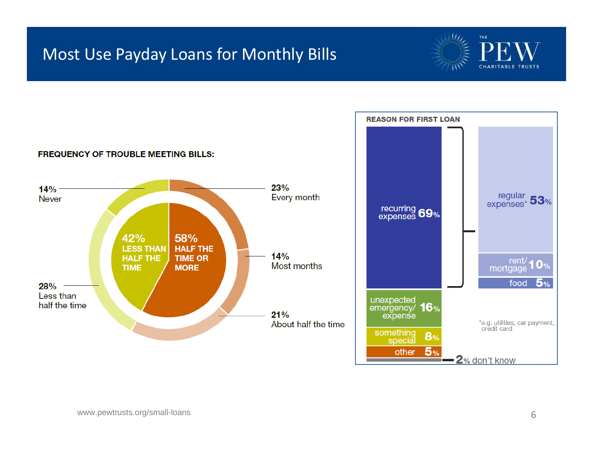## Most Use Payday Loans for Monthly Bills



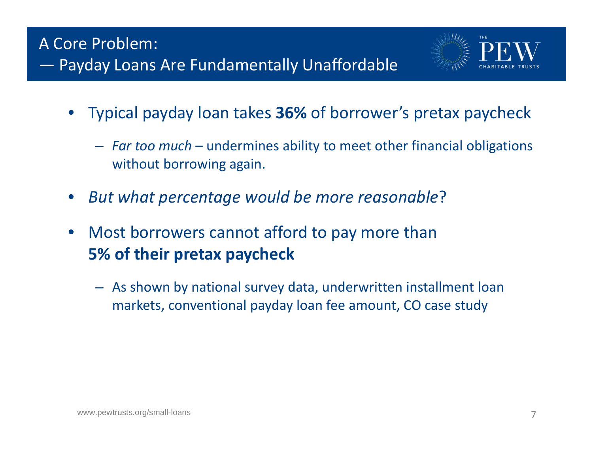

- • Typical payday loan takes **36%** of borrower's pretax paycheck
	- *Far too much* undermines ability to meet other financial obligations without borrowing again.
- •*But what percentage would be more reasonable*?
- • Most borrowers cannot afford to pay more than **5% of their pretax paycheck**
	- As shown by national survey data, underwritten installment loan markets, conventional payday loan fee amount, CO case study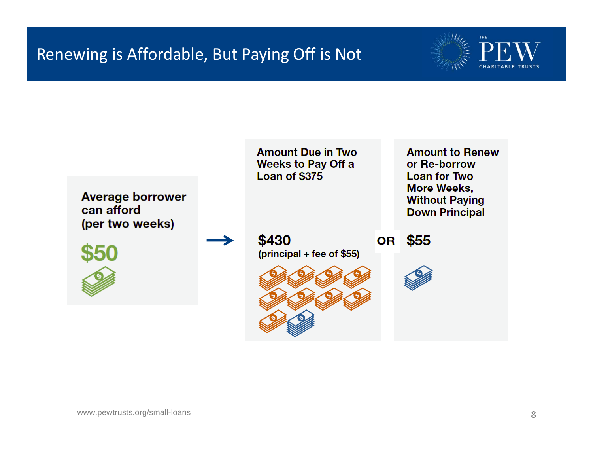## Renewing is Affordable, But Paying Off is Not



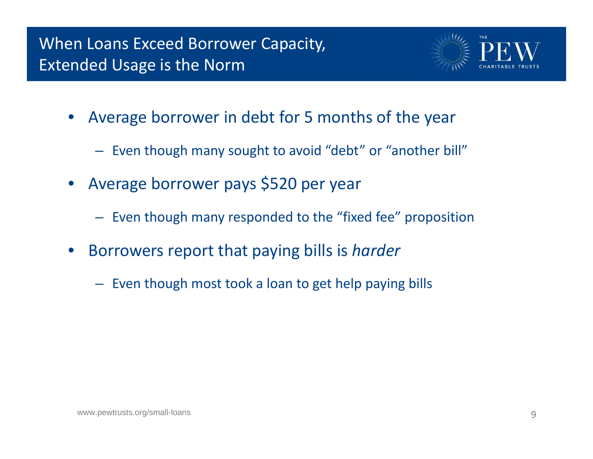

- $\bullet$  Average borrower in debt for 5 months of the year
	- Even though many sought to avoid "debt" or "another bill"
- $\bullet$  Average borrower pays \$520 per year
	- Even though many responded to the "fixed fee" proposition
- • Borrowers report that paying bills is *harder*
	- Even though most took <sup>a</sup> loan to get help paying bills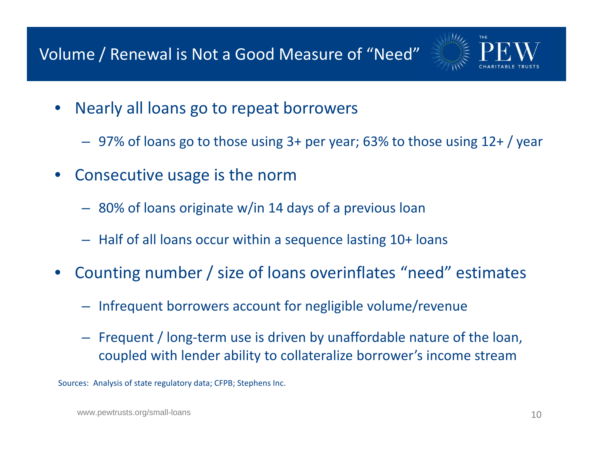# Volume / Renewal is Not <sup>a</sup> Good Measure of "Need"



- • Nearly all loans go to repeat borrowers
	- 97% of loans go to those using 3+ per year; 63% to those using 12+ / year
- • Consecutive usage is the norm
	- 80% of loans originate w/in 14 days of <sup>a</sup> previous loan
	- Half of all loans occur within <sup>a</sup> sequence lasting 10+ loans
- • Counting number / size of loans overinflates "need" estimates
	- Infrequent borrowers account for negligible volume/revenue
	- Frequent / long-term use is driven by unaffordable nature of the loan, coupled with lender ability to collateralize borrower's income stream

Sources: Analysis of state regulatory data; CFPB; Stephens Inc.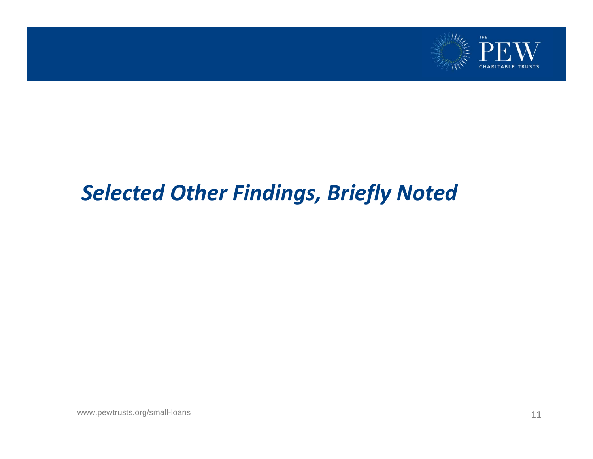

# *Selected Other Findings, Briefly Noted*

www.pewtrusts.org/small-loans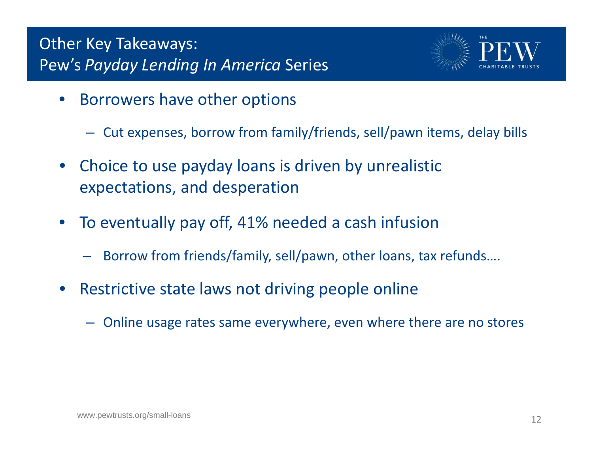## Other Key Takeaways: Pew's *Payday Lending In America* Series



- •**•** Borrowers have other options
	- $-$  Cut expenses, borrow from family/friends, sell/pawn items, delay bills
- • Choice to use payday loans is driven by unrealistic expectations, and desperation
- • To eventually pay off, 41% needed <sup>a</sup> cash infusion
	- Borrow from friends/family, sell/pawn, other loans, tax refunds….
- •**•** Restrictive state laws not driving people online
	- Online usage rates same everywhere, even where there are no stores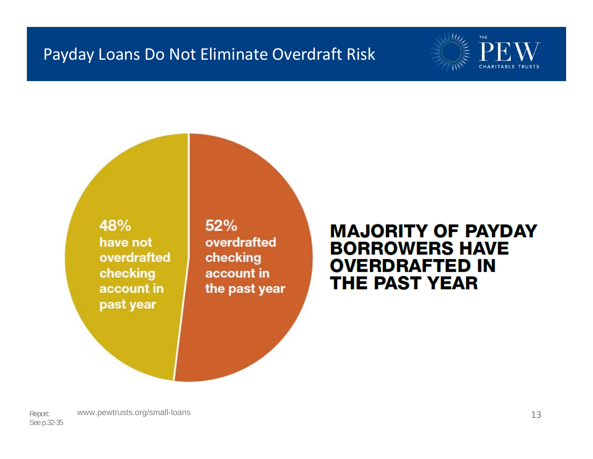### Payday Loans Do Not Eliminate Overdraft Risk



48% have not overdrafted checking account in past year

 $52%$ overdrafted checking account in the past year

### **MAJORITY OF PAYDAY BORROWERS HAVE OVERDRAFTED IN THE PAST YEAR**

Report: www.pewtrusts.org/small-loans 13 See p.32-35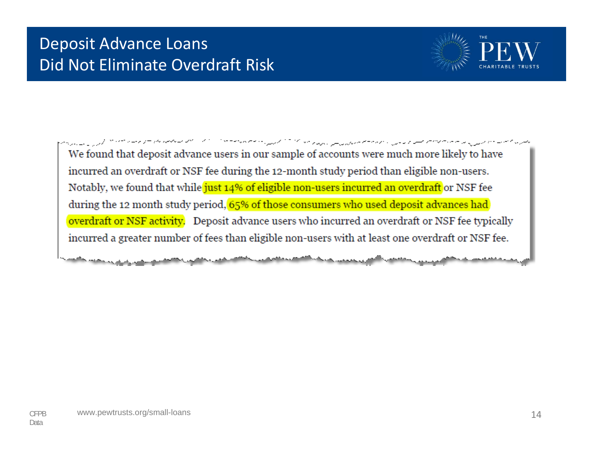# Deposit Advance Loans Did Not Eliminate Overdraft Risk



يعترف ممتدين ويرسون والمتحصص مستواد وأوال والأمالية المتواصل المركب متماز المتحدث والمتماز المتماز المتحدث والمتعاصر المتحر والمرار والمسترس We found that deposit advance users in our sample of accounts were much more likely to have incurred an overdraft or NSF fee during the 12-month study period than eligible non-users. Notably, we found that while just 14% of eligible non-users incurred an overdraft or NSF fee during the 12 month study period, 65% of those consumers who used deposit advances had overdraft or NSF activity. Deposit advance users who incurred an overdraft or NSF fee typically incurred a greater number of fees than eligible non-users with at least one overdraft or NSF fee.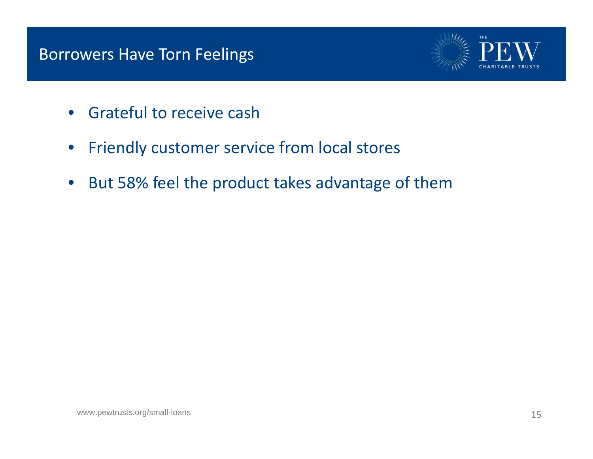### Borrowers Have Torn Feelings



- $\bullet$ **•** Grateful to receive cash
- $\bullet$ Friendly customer service from local stores
- $\bullet$ • But 58% feel the product takes advantage of them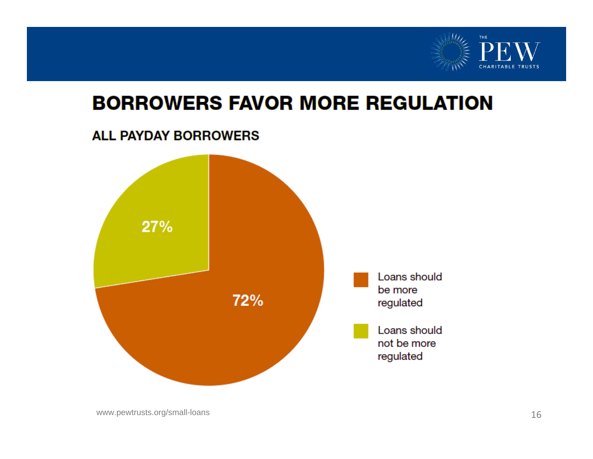

# **BORROWERS FAVOR MORE REGULATION**

#### **ALL PAYDAY BORROWERS**

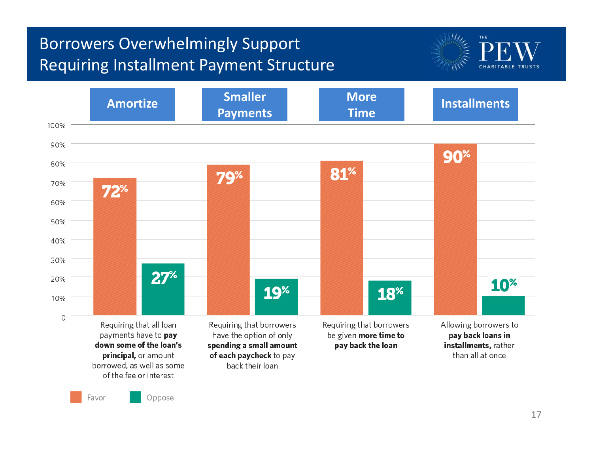# Borrowers Overwhelmingly Support Requiring Installment Payment Structure





Favor

Oppose

17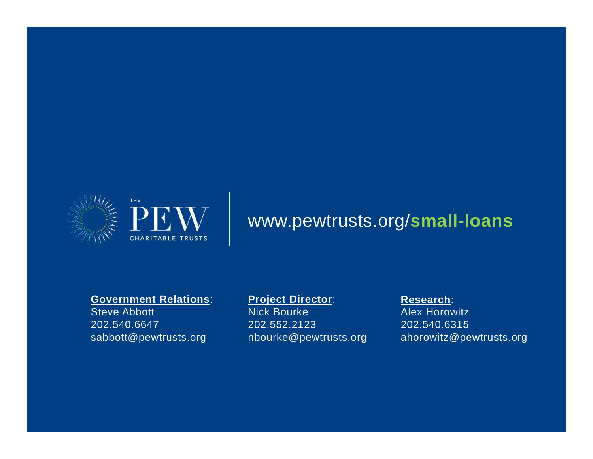

# www.pewtrusts.org/**small-loans**

#### **Government Relations**:

Steve Abbott 202.540.6647 sabbott@pewtrusts.org

#### **Project Director**:

Nick Bourke 202.552.2123 nbourke@pewtrusts.org

#### **Research**:

Alex Horowitz 202.540.6315 ahorowitz@pewtrusts.org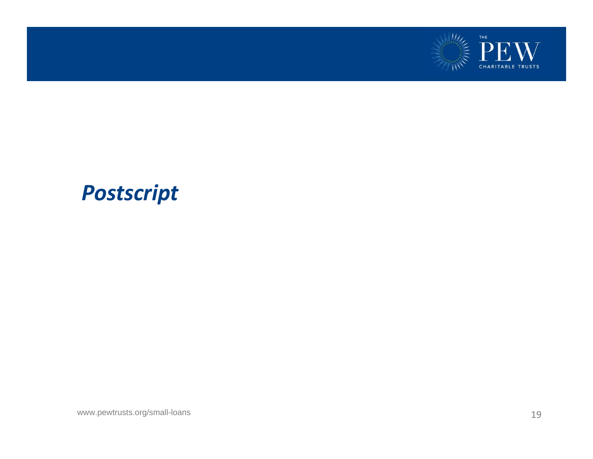

# *Postscript*

www.pewtrusts.org/small-loans 19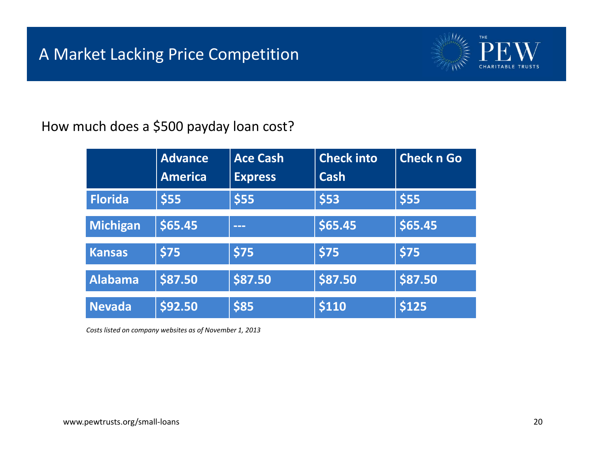

How much does <sup>a</sup> \$500 payday loan cost?

|                | <b>Advance</b><br><b>America</b> | <b>Ace Cash</b><br><b>Express</b> | <b>Check into</b><br>Cash | <b>Check n Go</b> |
|----------------|----------------------------------|-----------------------------------|---------------------------|-------------------|
| <b>Florida</b> | \$55                             | \$55                              | \$53                      | \$55              |
| Michigan       | \$65.45                          | ---                               | \$65.45                   | \$65.45           |
| <b>Kansas</b>  | \$75                             | \$75                              | \$75                      | \$75              |
| <b>Alabama</b> | \$87.50                          | \$87.50                           | \$87.50                   | \$87.50           |
| <b>Nevada</b>  | \$92.50                          | \$85                              | \$110                     | \$125             |

*Costs listed on company websites as of November 1, 2013*